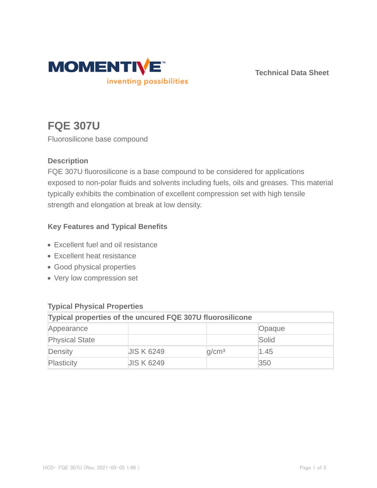

**Technical Data Sheet**

# **FQE 307U**

Fluorosilicone base compound

## **Description**

FQE 307U fluorosilicone is a base compound to be considered for applications exposed to non-polar fluids and solvents including fuels, oils and greases. This material typically exhibits the combination of excellent compression set with high tensile strength and elongation at break at low density.

## **Key Features and Typical Benefits**

- Excellent fuel and oil resistance
- Excellent heat resistance
- Good physical properties
- Very low compression set

| $\frac{1}{2}$                                                    |                   |                   |        |  |  |
|------------------------------------------------------------------|-------------------|-------------------|--------|--|--|
| <b>Typical properties of the uncured FQE 307U fluorosilicone</b> |                   |                   |        |  |  |
| Appearance                                                       |                   |                   | Opaque |  |  |
| <b>Physical State</b>                                            |                   |                   | Solid  |  |  |
| Density                                                          | <b>JIS K 6249</b> | q/cm <sup>3</sup> | 1.45   |  |  |
| Plasticity                                                       | <b>JIS K 6249</b> |                   | 350    |  |  |

# **Typical Physical Properties**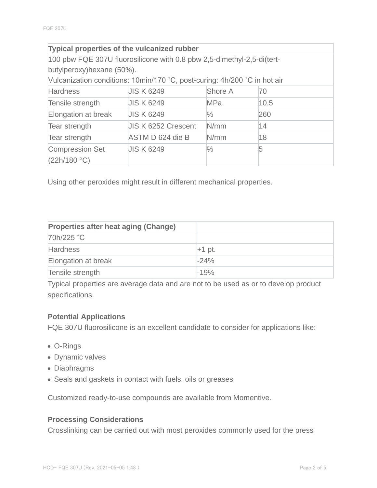| <b>Typical properties of the vulcanized rubber</b>                        |                            |               |      |  |  |
|---------------------------------------------------------------------------|----------------------------|---------------|------|--|--|
| 100 pbw FQE 307U fluorosilicone with 0.8 pbw 2,5-dimethyl-2,5-di(tert-    |                            |               |      |  |  |
| butylperoxy) hexane (50%).                                                |                            |               |      |  |  |
| Vulcanization conditions: 10min/170 °C, post-curing: 4h/200 °C in hot air |                            |               |      |  |  |
| <b>Hardness</b>                                                           | <b>JIS K 6249</b>          | Shore A       | 70   |  |  |
| Tensile strength                                                          | <b>JIS K 6249</b>          | <b>MPa</b>    | 10.5 |  |  |
| Elongation at break                                                       | <b>JIS K 6249</b>          | $\frac{0}{0}$ | 260  |  |  |
| Tear strength                                                             | <b>JIS K 6252 Crescent</b> | N/mm          | 14   |  |  |
| Tear strength                                                             | ASTM D 624 die B           | N/mm          | 18   |  |  |
| <b>Compression Set</b>                                                    | <b>JIS K 6249</b>          | $\frac{1}{2}$ | 5    |  |  |
| (22h/180 °C)                                                              |                            |               |      |  |  |

Using other peroxides might result in different mechanical properties.

| <b>Properties after heat aging (Change)</b> |          |
|---------------------------------------------|----------|
| 70h/225 °C                                  |          |
| <b>Hardness</b>                             | $+1$ pt. |
| Elongation at break                         | $-24%$   |
| Tensile strength                            | $-19%$   |

Typical properties are average data and are not to be used as or to develop product specifications.

#### **Potential Applications**

FQE 307U fluorosilicone is an excellent candidate to consider for applications like:

- O-Rings
- Dynamic valves
- Diaphragms
- Seals and gaskets in contact with fuels, oils or greases

Customized ready-to-use compounds are available from Momentive.

#### **Processing Considerations**

Crosslinking can be carried out with most peroxides commonly used for the press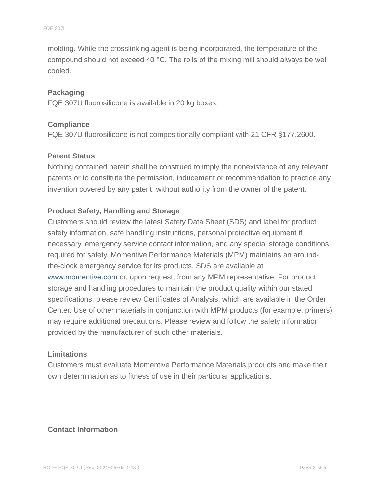molding. While the crosslinking agent is being incorporated, the temperature of the compound should not exceed 40 °C. The rolls of the mixing mill should always be well cooled.

#### **Packaging**

FQE 307U fluorosilicone is available in 20 kg boxes.

#### **Compliance**

FQE 307U fluorosilicone is not compositionally compliant with 21 CFR §177.2600.

#### **Patent Status**

Nothing contained herein shall be construed to imply the nonexistence of any relevant patents or to constitute the permission, inducement or recommendation to practice any invention covered by any patent, without authority from the owner of the patent.

#### **Product Safety, Handling and Storage**

Customers should review the latest Safety Data Sheet (SDS) and label for product safety information, safe handling instructions, personal protective equipment if necessary, emergency service contact information, and any special storage conditions required for safety. Momentive Performance Materials (MPM) maintains an aroundthe-clock emergency service for its products. SDS are available at www.momentive.com or, upon request, from any MPM representative. For product storage and handling procedures to maintain the product quality within our stated specifications, please review Certificates of Analysis, which are available in the Order Center. Use of other materials in conjunction with MPM products (for example, primers) may require additional precautions. Please review and follow the safety information provided by the manufacturer of such other materials.

#### **Limitations**

Customers must evaluate Momentive Performance Materials products and make their own determination as to fitness of use in their particular applications.

#### **Contact Information**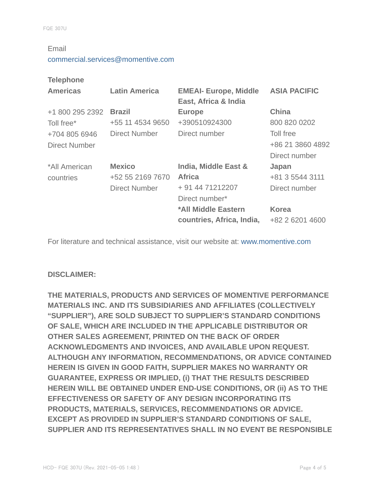#### Email

#### commercial.services@momentive.com

#### **Telephone**

| <b>Americas</b>      | <b>Latin America</b> | <b>EMEAI- Europe, Middle</b><br>East, Africa & India | <b>ASIA PACIFIC</b> |
|----------------------|----------------------|------------------------------------------------------|---------------------|
| +1 800 295 2392      | <b>Brazil</b>        | <b>Europe</b>                                        | <b>China</b>        |
| Toll free*           | +55 11 4534 9650     | +390510924300                                        | 800 820 0202        |
| +704 805 6946        | Direct Number        | Direct number                                        | Toll free           |
| <b>Direct Number</b> |                      |                                                      | +86 21 3860 4892    |
|                      |                      |                                                      | Direct number       |
| *All American        | <b>Mexico</b>        | India, Middle East &                                 | Japan               |
| countries            | +52 55 2169 7670     | <b>Africa</b>                                        | +81 3 5544 3111     |
|                      | <b>Direct Number</b> | + 91 44 71212207                                     | Direct number       |
|                      |                      | Direct number*                                       |                     |
|                      |                      | *All Middle Eastern                                  | <b>Korea</b>        |
|                      |                      | countries, Africa, India,                            | +82 2 6201 4600     |

For literature and technical assistance, visit our website at: www.momentive.com

#### **DISCLAIMER:**

**THE MATERIALS, PRODUCTS AND SERVICES OF MOMENTIVE PERFORMANCE MATERIALS INC. AND ITS SUBSIDIARIES AND AFFILIATES (COLLECTIVELY "SUPPLIER"), ARE SOLD SUBJECT TO SUPPLIER'S STANDARD CONDITIONS OF SALE, WHICH ARE INCLUDED IN THE APPLICABLE DISTRIBUTOR OR OTHER SALES AGREEMENT, PRINTED ON THE BACK OF ORDER ACKNOWLEDGMENTS AND INVOICES, AND AVAILABLE UPON REQUEST. ALTHOUGH ANY INFORMATION, RECOMMENDATIONS, OR ADVICE CONTAINED HEREIN IS GIVEN IN GOOD FAITH, SUPPLIER MAKES NO WARRANTY OR GUARANTEE, EXPRESS OR IMPLIED, (i) THAT THE RESULTS DESCRIBED HEREIN WILL BE OBTAINED UNDER END-USE CONDITIONS, OR (ii) AS TO THE EFFECTIVENESS OR SAFETY OF ANY DESIGN INCORPORATING ITS PRODUCTS, MATERIALS, SERVICES, RECOMMENDATIONS OR ADVICE. EXCEPT AS PROVIDED IN SUPPLIER'S STANDARD CONDITIONS OF SALE, SUPPLIER AND ITS REPRESENTATIVES SHALL IN NO EVENT BE RESPONSIBLE**